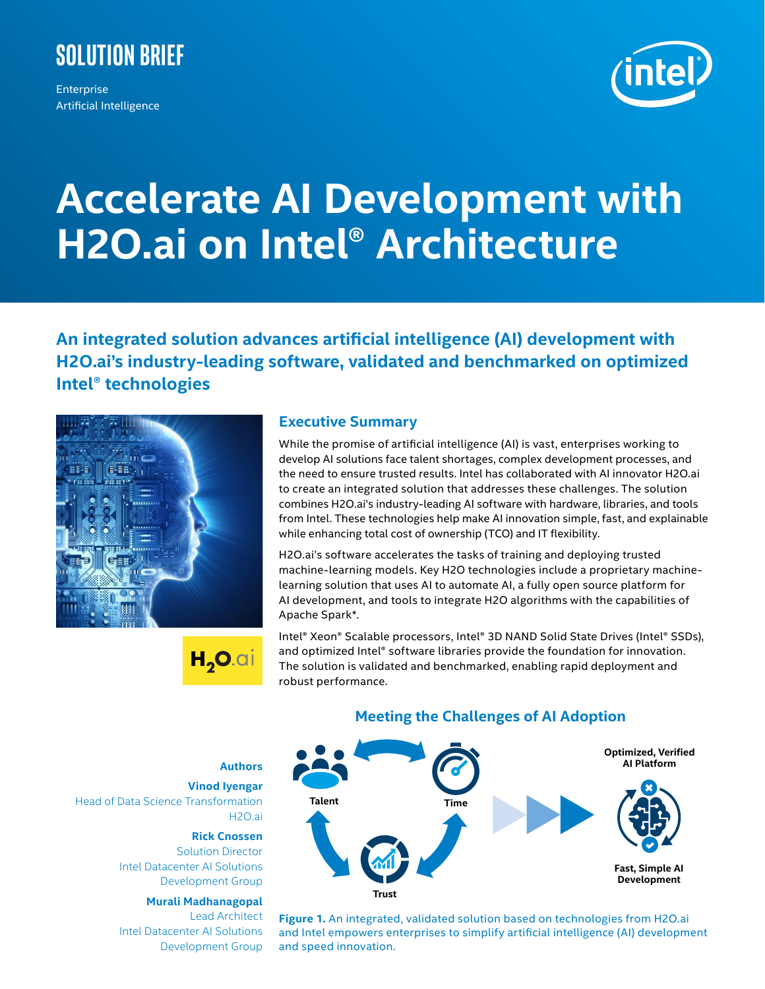

Enterprise Artificial Intelligence



## **Accelerate AI Development with H2O.ai on Intel® Architecture**

**An integrated solution advances artificial intelligence (AI) development with H2O.ai's industry-leading software, validated and benchmarked on optimized Intel® technologies**





#### **Executive Summary**

While the promise of artificial intelligence (AI) is vast, enterprises working to develop AI solutions face talent shortages, complex development processes, and the need to ensure trusted results. Intel has collaborated with AI innovator H2O.ai to create an integrated solution that addresses these challenges. The solution combines H2O.ai's industry-leading AI software with hardware, libraries, and tools from Intel. These technologies help make AI innovation simple, fast, and explainable while enhancing total cost of ownership (TCO) and IT flexibility.

H2O.ai's software accelerates the tasks of training and deploying trusted machine-learning models. Key H2O technologies include a proprietary machinelearning solution that uses AI to automate AI, a fully open source platform for AI development, and tools to integrate H2O algorithms with the capabilities of Apache Spark\*.

Intel® Xeon® Scalable processors, Intel® 3D NAND Solid State Drives (Intel® SSDs), and optimized Intel® software libraries provide the foundation for innovation. The solution is validated and benchmarked, enabling rapid deployment and robust performance.



### **Meeting the Challenges of AI Adoption**

**Figure 1.** An integrated, validated solution based on technologies from H2O.ai and Intel empowers enterprises to simplify artificial intelligence (AI) development and speed innovation.

**Authors**

**Vinod Iyengar**  Head of Data Science Transformation H2O.ai

**Rick Cnossen** 

Solution Director Intel Datacenter AI Solutions Development Group

#### **Murali Madhanagopal**

Lead Architect Intel Datacenter AI Solutions Development Group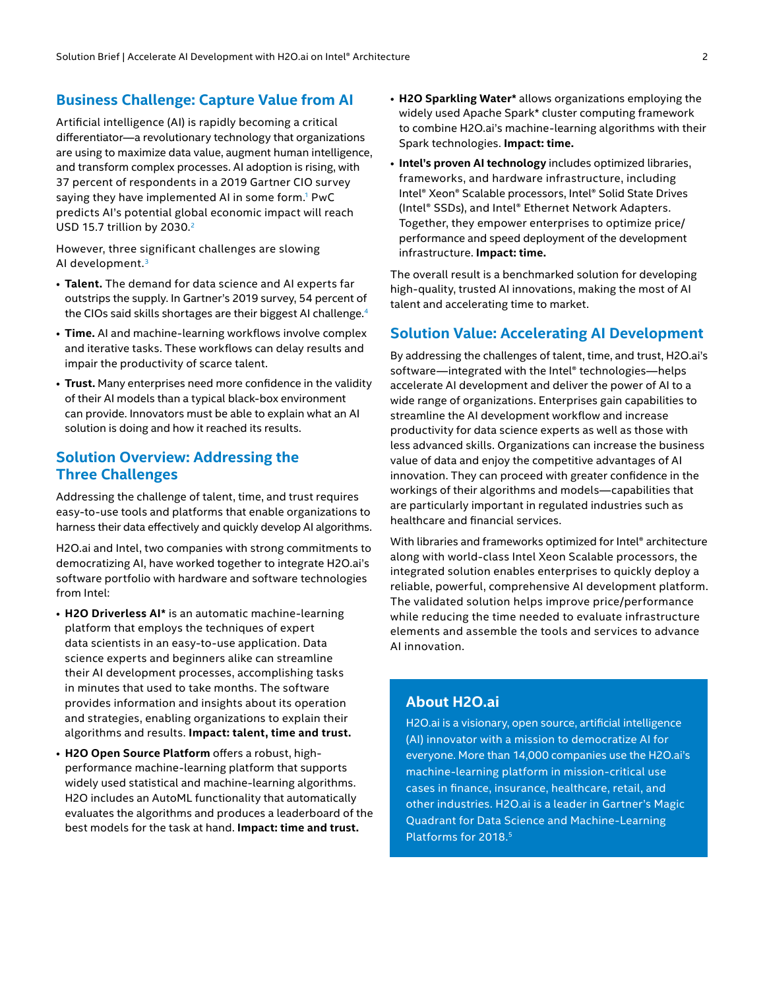#### **Business Challenge: Capture Value from AI**

Artificial intelligence (AI) is rapidly becoming a critical differentiator—a revolutionary technology that organizations are using to maximize data value, augment human intelligence, and transform complex processes. AI adoption is rising, with 37 percent of respondents in a 2019 Gartner CIO survey saying they have implemented AI in some form.<sup>1</sup> PwC predicts AI's potential global economic impact will reach USD 15.7 trillion by 2030.<sup>2</sup>

However, three significant challenges are slowing AI development.<sup>3</sup>

- **Talent.** The demand for data science and AI experts far outstrips the supply. In Gartner's 2019 survey, 54 percent of the CIOs said skills shortages are their biggest AI challenge.<sup>4</sup>
- **Time.** AI and machine-learning workflows involve complex and iterative tasks. These workflows can delay results and impair the productivity of scarce talent.
- **Trust.** Many enterprises need more confidence in the validity of their AI models than a typical black-box environment can provide. Innovators must be able to explain what an AI solution is doing and how it reached its results.

#### **Solution Overview: Addressing the Three Challenges**

Addressing the challenge of talent, time, and trust requires easy-to-use tools and platforms that enable organizations to harness their data effectively and quickly develop AI algorithms.

H2O.ai and Intel, two companies with strong commitments to democratizing AI, have worked together to integrate H2O.ai's software portfolio with hardware and software technologies from Intel:

- **H2O Driverless AI\*** is an automatic machine-learning platform that employs the techniques of expert data scientists in an easy-to-use application. Data science experts and beginners alike can streamline their AI development processes, accomplishing tasks in minutes that used to take months. The software provides information and insights about its operation and strategies, enabling organizations to explain their algorithms and results. **Impact: talent, time and trust.**
- **H2O Open Source Platform** offers a robust, highperformance machine-learning platform that supports widely used statistical and machine-learning algorithms. H2O includes an AutoML functionality that automatically evaluates the algorithms and produces a leaderboard of the best models for the task at hand. **Impact: time and trust.**
- **H2O Sparkling Water\*** allows organizations employing the widely used Apache Spark\* cluster computing framework to combine H2O.ai's machine-learning algorithms with their Spark technologies. **Impact: time.**
- **Intel's proven AI technology** includes optimized libraries, frameworks, and hardware infrastructure, including Intel® Xeon® Scalable processors, Intel® Solid State Drives (Intel® SSDs), and Intel® Ethernet Network Adapters. Together, they empower enterprises to optimize price/ performance and speed deployment of the development infrastructure. **Impact: time.**

The overall result is a benchmarked solution for developing high-quality, trusted AI innovations, making the most of AI talent and accelerating time to market.

#### **Solution Value: Accelerating AI Development**

By addressing the challenges of talent, time, and trust, H2O.ai's software—integrated with the Intel® technologies—helps accelerate AI development and deliver the power of AI to a wide range of organizations. Enterprises gain capabilities to streamline the AI development workflow and increase productivity for data science experts as well as those with less advanced skills. Organizations can increase the business value of data and enjoy the competitive advantages of AI innovation. They can proceed with greater confidence in the workings of their algorithms and models—capabilities that are particularly important in regulated industries such as healthcare and financial services.

With libraries and frameworks optimized for Intel® architecture along with world-class Intel Xeon Scalable processors, the integrated solution enables enterprises to quickly deploy a reliable, powerful, comprehensive AI development platform. The validated solution helps improve price/performance while reducing the time needed to evaluate infrastructure elements and assemble the tools and services to advance AI innovation.

#### **About H2O.ai**

H2O.ai is a visionary, open source, artificial intelligence (AI) innovator with a mission to democratize AI for everyone. More than 14,000 companies use the H2O.ai's machine-learning platform in mission-critical use cases in finance, insurance, healthcare, retail, and other industries. H2O.ai is a leader in Gartner's Magic Quadrant for Data Science and Machine-Learning Platforms for 2018.<sup>5</sup>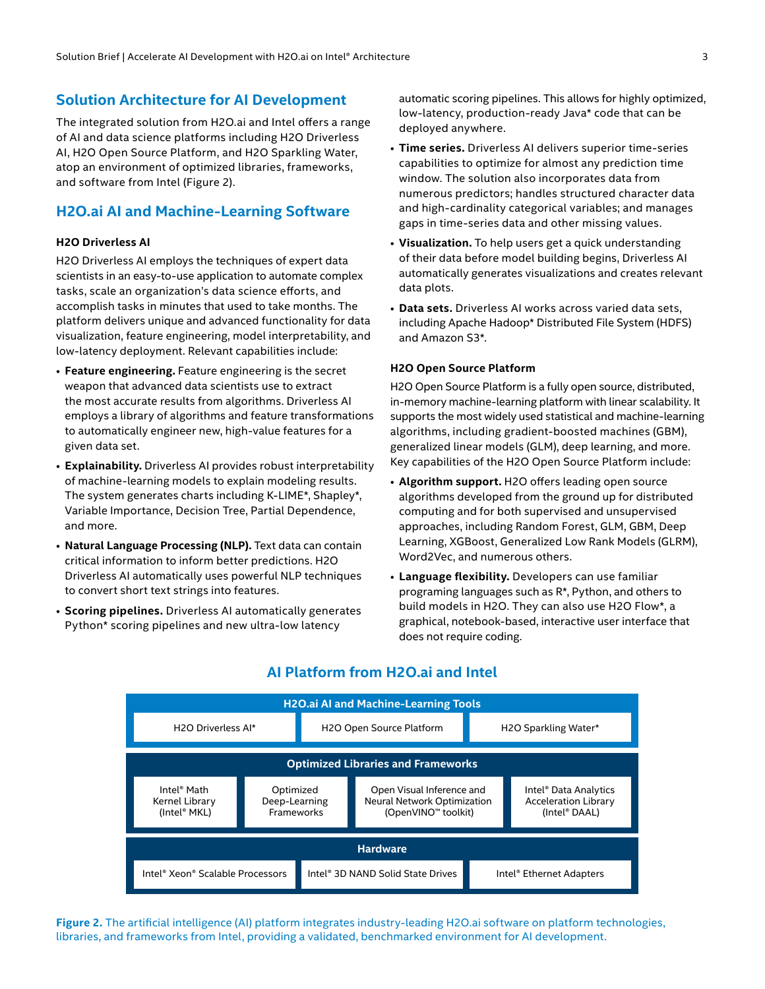#### **Solution Architecture for AI Development**

The integrated solution from H2O.ai and Intel offers a range of AI and data science platforms including H2O Driverless AI, H2O Open Source Platform, and H2O Sparkling Water, atop an environment of optimized libraries, frameworks, and software from Intel (Figure 2).

#### **H2O.ai AI and Machine-Learning Software**

#### **H2O Driverless AI**

H2O Driverless AI employs the techniques of expert data scientists in an easy-to-use application to automate complex tasks, scale an organization's data science efforts, and accomplish tasks in minutes that used to take months. The platform delivers unique and advanced functionality for data visualization, feature engineering, model interpretability, and low-latency deployment. Relevant capabilities include:

- **Feature engineering.** Feature engineering is the secret weapon that advanced data scientists use to extract the most accurate results from algorithms. Driverless AI employs a library of algorithms and feature transformations to automatically engineer new, high-value features for a given data set.
- **Explainability.** Driverless AI provides robust interpretability of machine-learning models to explain modeling results. The system generates charts including K-LIME\*, Shapley\*, Variable Importance, Decision Tree, Partial Dependence, and more.
- **Natural Language Processing (NLP).** Text data can contain critical information to inform better predictions. H2O Driverless AI automatically uses powerful NLP techniques to convert short text strings into features.
- **Scoring pipelines.** Driverless AI automatically generates Python\* scoring pipelines and new ultra-low latency

automatic scoring pipelines. This allows for highly optimized, low-latency, production-ready Java\* code that can be deployed anywhere.

- **Time series.** Driverless AI delivers superior time-series capabilities to optimize for almost any prediction time window. The solution also incorporates data from numerous predictors; handles structured character data and high-cardinality categorical variables; and manages gaps in time-series data and other missing values.
- **Visualization.** To help users get a quick understanding of their data before model building begins, Driverless AI automatically generates visualizations and creates relevant data plots.
- **Data sets.** Driverless AI works across varied data sets, including Apache Hadoop\* Distributed File System (HDFS) and Amazon S3\*.

#### **H2O Open Source Platform**

H2O Open Source Platform is a fully open source, distributed, in-memory machine-learning platform with linear scalability. It supports the most widely used statistical and machine-learning algorithms, including gradient-boosted machines (GBM), generalized linear models (GLM), deep learning, and more. Key capabilities of the H2O Open Source Platform include:

- **Algorithm support.** H2O offers leading open source algorithms developed from the ground up for distributed computing and for both supervised and unsupervised approaches, including Random Forest, GLM, GBM, Deep Learning, XGBoost, Generalized Low Rank Models (GLRM), Word2Vec, and numerous others.
- **Language flexibility.** Developers can use familiar programing languages such as R\*, Python, and others to build models in H2O. They can also use H2O Flow\*, a graphical, notebook-based, interactive user interface that does not require coding.



#### **AI Platform from H2O.ai and Intel**

**Figure 2.** The artificial intelligence (AI) platform integrates industry-leading H2O.ai software on platform technologies, libraries, and frameworks from Intel, providing a validated, benchmarked environment for AI development.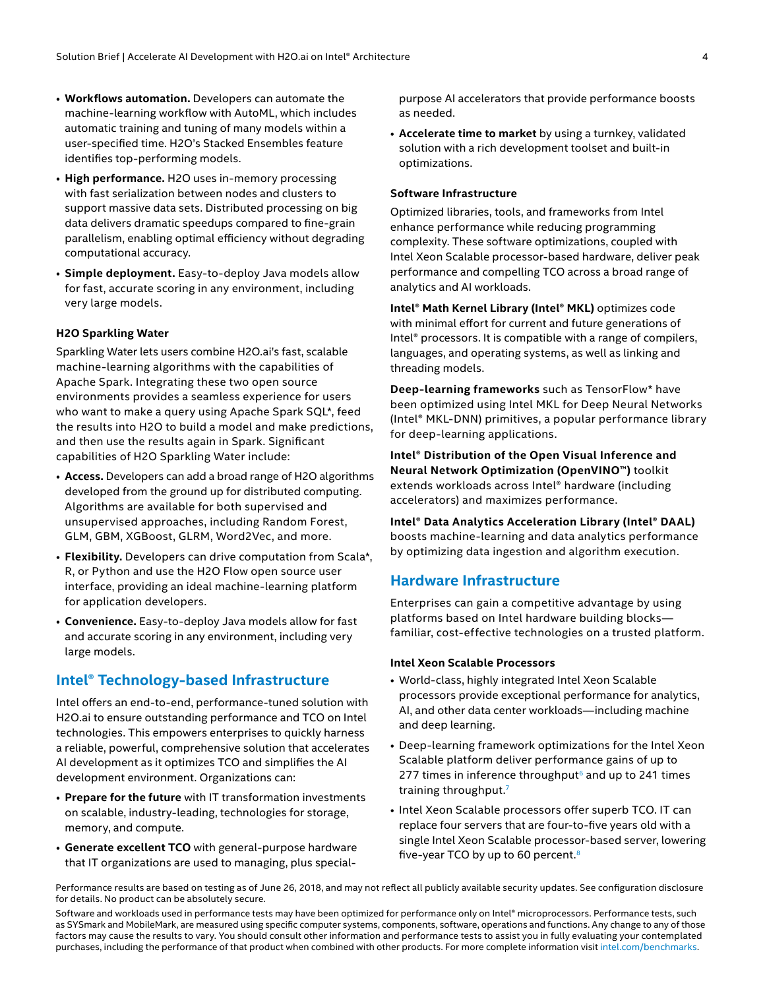- **Workflows automation.** Developers can automate the machine-learning workflow with AutoML, which includes automatic training and tuning of many models within a user-specified time. H2O's Stacked Ensembles feature identifies top-performing models.
- **High performance.** H2O uses in-memory processing with fast serialization between nodes and clusters to support massive data sets. Distributed processing on big data delivers dramatic speedups compared to fine-grain parallelism, enabling optimal efficiency without degrading computational accuracy.
- **Simple deployment.** Easy-to-deploy Java models allow for fast, accurate scoring in any environment, including very large models.

#### **H2O Sparkling Water**

Sparkling Water lets users combine H2O.ai's fast, scalable machine-learning algorithms with the capabilities of Apache Spark. Integrating these two open source environments provides a seamless experience for users who want to make a query using Apache Spark SQL\*, feed the results into H2O to build a model and make predictions, and then use the results again in Spark. Significant capabilities of H2O Sparkling Water include:

- **Access.** Developers can add a broad range of H2O algorithms developed from the ground up for distributed computing. Algorithms are available for both supervised and unsupervised approaches, including Random Forest, GLM, GBM, XGBoost, GLRM, Word2Vec, and more.
- **Flexibility.** Developers can drive computation from Scala\*, R, or Python and use the H2O Flow open source user interface, providing an ideal machine-learning platform for application developers.
- **Convenience.** Easy-to-deploy Java models allow for fast and accurate scoring in any environment, including very large models.

#### **Intel® Technology-based Infrastructure**

Intel offers an end-to-end, performance-tuned solution with H2O.ai to ensure outstanding performance and TCO on Intel technologies. This empowers enterprises to quickly harness a reliable, powerful, comprehensive solution that accelerates AI development as it optimizes TCO and simplifies the AI development environment. Organizations can:

- **Prepare for the future** with IT transformation investments on scalable, industry-leading, technologies for storage, memory, and compute.
- **Generate excellent TCO** with general-purpose hardware that IT organizations are used to managing, plus special-

purpose AI accelerators that provide performance boosts as needed.

• **Accelerate time to market** by using a turnkey, validated solution with a rich development toolset and built-in optimizations.

#### **Software Infrastructure**

Optimized libraries, tools, and frameworks from Intel enhance performance while reducing programming complexity. These software optimizations, coupled with Intel Xeon Scalable processor-based hardware, deliver peak performance and compelling TCO across a broad range of analytics and AI workloads.

**Intel® Math Kernel Library (Intel® MKL)** optimizes code with minimal effort for current and future generations of Intel® processors. It is compatible with a range of compilers, languages, and operating systems, as well as linking and threading models.

**Deep-learning frameworks** such as TensorFlow\* have been optimized using Intel MKL for Deep Neural Networks (Intel® MKL-DNN) primitives, a popular performance library for deep-learning applications.

**Intel® Distribution of the Open Visual Inference and Neural Network Optimization (OpenVINO™)** toolkit extends workloads across Intel® hardware (including accelerators) and maximizes performance.

**Intel® Data Analytics Acceleration Library (Intel® DAAL)**  boosts machine-learning and data analytics performance by optimizing data ingestion and algorithm execution.

#### **Hardware Infrastructure**

Enterprises can gain a competitive advantage by using platforms based on Intel hardware building blocks familiar, cost-effective technologies on a trusted platform.

#### **Intel Xeon Scalable Processors**

- World-class, highly integrated Intel Xeon Scalable processors provide exceptional performance for analytics, AI, and other data center workloads—including machine and deep learning.
- Deep-learning framework optimizations for the Intel Xeon Scalable platform deliver performance gains of up to 277 times in inference throughput $6$  and up to 241 times training throughput.7
- Intel Xeon Scalable processors offer superb TCO. IT can replace four servers that are four-to-five years old with a single Intel Xeon Scalable processor-based server, lowering five-year TCO by up to 60 percent.8

Performance results are based on testing as of June 26, 2018, and may not reflect all publicly available security updates. See configuration disclosure for details. No product can be absolutely secure.

Software and workloads used in performance tests may have been optimized for performance only on Intel® microprocessors. Performance tests, such as SYSmark and MobileMark, are measured using specific computer systems, components, software, operations and functions. Any change to any of those factors may cause the results to vary. You should consult other information and performance tests to assist you in fully evaluating your contemplated purchases, including the performance of that product when combined with other products. For more complete information visit [intel.com/benchmarks](http://www.intel.com/benchmarks).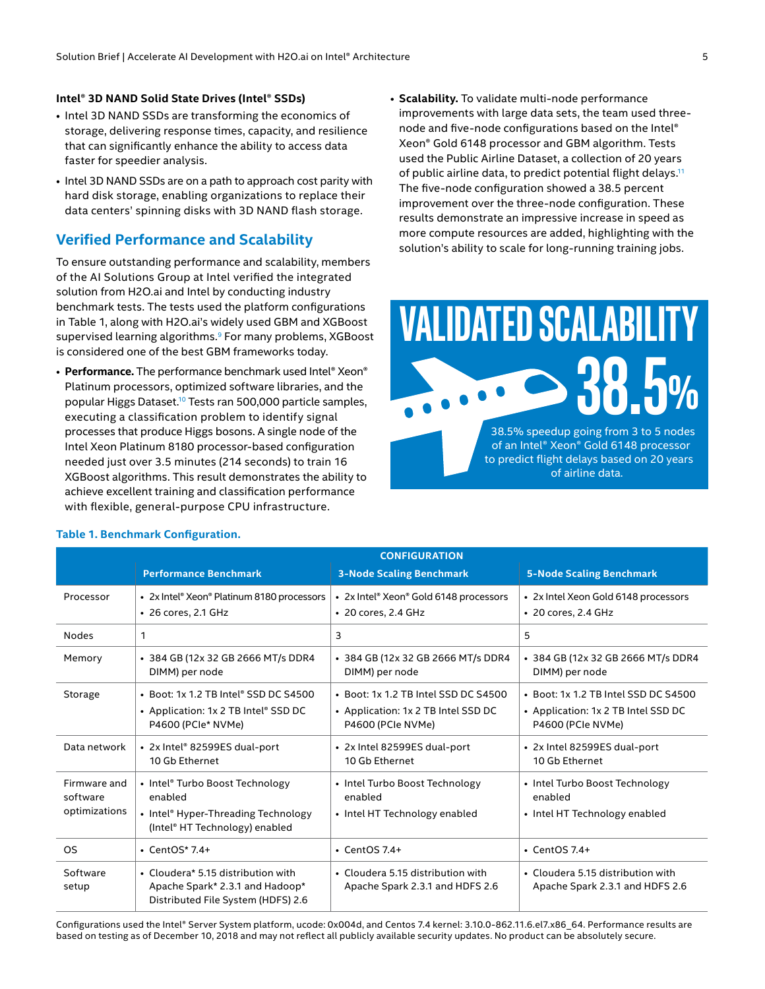#### **Intel® 3D NAND Solid State Drives (Intel® SSDs)**

- Intel 3D NAND SSDs are transforming the economics of storage, delivering response times, capacity, and resilience that can significantly enhance the ability to access data faster for speedier analysis.
- Intel 3D NAND SSDs are on a path to approach cost parity with hard disk storage, enabling organizations to replace their data centers' spinning disks with 3D NAND flash storage.

#### **Verified Performance and Scalability**

To ensure outstanding performance and scalability, members of the AI Solutions Group at Intel verified the integrated solution from H2O.ai and Intel by conducting industry benchmark tests. The tests used the platform configurations in Table 1, along with H2O.ai's widely used GBM and XGBoost supervised learning algorithms.<sup>9</sup> For many problems, XGBoost is considered one of the best GBM frameworks today.

• **Performance.** The performance benchmark used Intel® Xeon® Platinum processors, optimized software libraries, and the popular Higgs Dataset.10 Tests ran 500,000 particle samples, executing a classification problem to identify signal processes that produce Higgs bosons. A single node of the Intel Xeon Platinum 8180 processor-based configuration needed just over 3.5 minutes (214 seconds) to train 16 XGBoost algorithms. This result demonstrates the ability to achieve excellent training and classification performance with flexible, general-purpose CPU infrastructure.

• **Scalability.** To validate multi-node performance improvements with large data sets, the team used threenode and five-node configurations based on the Intel® Xeon® Gold 6148 processor and GBM algorithm. Tests used the Public Airline Dataset, a collection of 20 years of public airline data, to predict potential flight delays.<sup>11</sup> The five-node configuration showed a 38.5 percent improvement over the three-node configuration. These results demonstrate an impressive increase in speed as more compute resources are added, highlighting with the solution's ability to scale for long-running training jobs.

# **VALIDATED SCALABILI 38.5%**

38.5% speedup going from 3 to 5 nodes of an Intel® Xeon® Gold 6148 processor to predict flight delays based on 20 years of airline data.

|                                           | <b>CONFIGURATION</b>                                                                                                |                                                                                                  |                                                                                                  |
|-------------------------------------------|---------------------------------------------------------------------------------------------------------------------|--------------------------------------------------------------------------------------------------|--------------------------------------------------------------------------------------------------|
|                                           | <b>Performance Benchmark</b>                                                                                        | <b>3-Node Scaling Benchmark</b>                                                                  | <b>5-Node Scaling Benchmark</b>                                                                  |
| Processor                                 | • 2x Intel® Xeon® Platinum 8180 processors<br>• 26 cores, 2.1 GHz                                                   | • 2x Intel® Xeon® Gold 6148 processors<br>• 20 cores, 2.4 GHz                                    | • 2x Intel Xeon Gold 6148 processors<br>• 20 cores, 2.4 GHz                                      |
| <b>Nodes</b>                              | 1                                                                                                                   | 3                                                                                                | 5                                                                                                |
| Memory                                    | • 384 GB (12x 32 GB 2666 MT/s DDR4<br>DIMM) per node                                                                | • 384 GB (12x 32 GB 2666 MT/s DDR4<br>DIMM) per node                                             | • 384 GB (12x 32 GB 2666 MT/s DDR4<br>DIMM) per node                                             |
| Storage                                   | • Boot: 1x 1.2 TB Intel® SSD DC S4500<br>• Application: 1x 2 TB Intel® SSD DC<br>P4600 (PCIe* NVMe)                 | • Boot: 1x 1.2 TB Intel SSD DC S4500<br>• Application: 1x 2 TB Intel SSD DC<br>P4600 (PCIe NVMe) | • Boot: 1x 1.2 TB Intel SSD DC S4500<br>• Application: 1x 2 TB Intel SSD DC<br>P4600 (PCIe NVMe) |
| Data network                              | • 2x Intel® 82599ES dual-port<br>10 Gb Ethernet                                                                     | • 2x Intel 82599ES dual-port<br>10 Gb Ethernet                                                   | • 2x Intel 82599ES dual-port<br>10 Gb Ethernet                                                   |
| Firmware and<br>software<br>optimizations | • Intel® Turbo Boost Technology<br>enabled<br>• Intel® Hyper-Threading Technology<br>(Intel® HT Technology) enabled | • Intel Turbo Boost Technology<br>enabled<br>• Intel HT Technology enabled                       | • Intel Turbo Boost Technology<br>enabled<br>• Intel HT Technology enabled                       |
| <b>OS</b>                                 | $\cdot$ CentOS* 7.4+                                                                                                | $\cdot$ CentOS 7.4+                                                                              | $\cdot$ CentOS 7.4+                                                                              |
| Software<br>setup                         | • Cloudera* 5.15 distribution with<br>Apache Spark* 2.3.1 and Hadoop*<br>Distributed File System (HDFS) 2.6         | • Cloudera 5.15 distribution with<br>Apache Spark 2.3.1 and HDFS 2.6                             | • Cloudera 5.15 distribution with<br>Apache Spark 2.3.1 and HDFS 2.6                             |

#### **Table 1. Benchmark Configuration.**

Configurations used the Intel® Server System platform, ucode: 0x004d, and Centos 7.4 kernel: 3.10.0-862.11.6.el7.x86\_64. Performance results are based on testing as of December 10, 2018 and may not reflect all publicly available security updates. No product can be absolutely secure.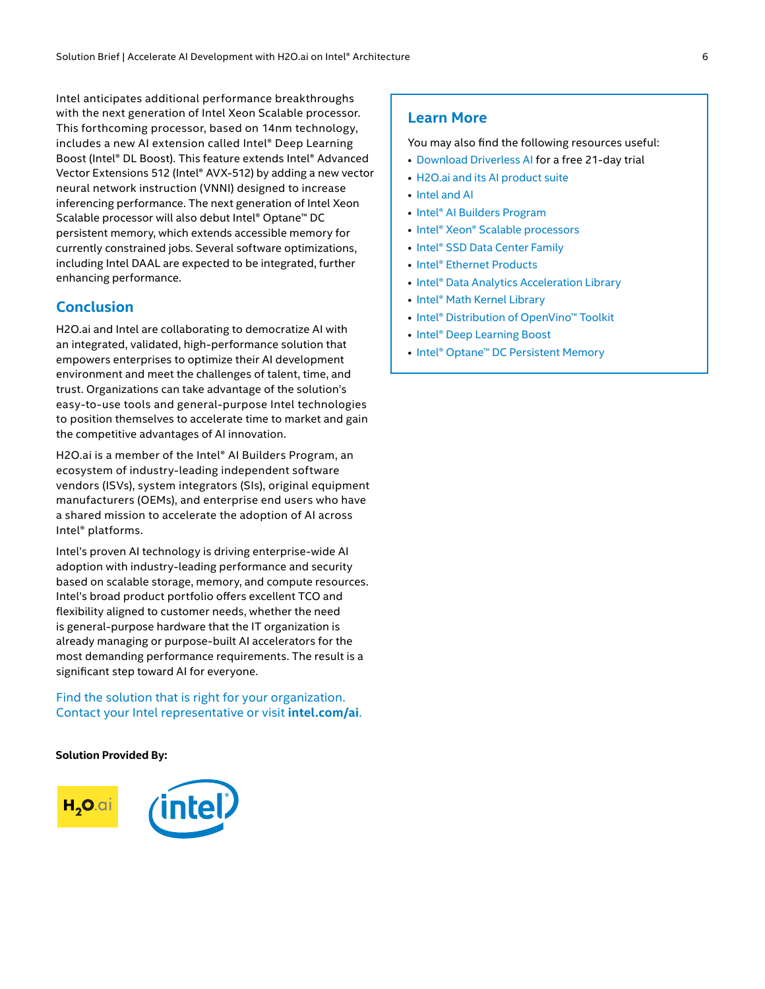Intel anticipates additional performance breakthroughs with the next generation of Intel Xeon Scalable processor. This forthcoming processor, based on 14nm technology, includes a new AI extension called Intel® Deep Learning Boost (Intel® DL Boost). This feature extends Intel® Advanced Vector Extensions 512 (Intel® AVX-512) by adding a new vector neural network instruction (VNNI) designed to increase inferencing performance. The next generation of Intel Xeon Scalable processor will also debut Intel® Optane™ DC persistent memory, which extends accessible memory for currently constrained jobs. Several software optimizations, including Intel DAAL are expected to be integrated, further enhancing performance.

#### **Conclusion**

H2O.ai and Intel are collaborating to democratize AI with an integrated, validated, high-performance solution that empowers enterprises to optimize their AI development environment and meet the challenges of talent, time, and trust. Organizations can take advantage of the solution's easy-to-use tools and general-purpose Intel technologies to position themselves to accelerate time to market and gain the competitive advantages of AI innovation.

H2O.ai is a member of the Intel® AI Builders Program, an ecosystem of industry-leading independent software vendors (ISVs), system integrators (SIs), original equipment manufacturers (OEMs), and enterprise end users who have a shared mission to accelerate the adoption of AI across Intel® platforms.

Intel's proven AI technology is driving enterprise-wide AI adoption with industry-leading performance and security based on scalable storage, memory, and compute resources. Intel's broad product portfolio offers excellent TCO and flexibility aligned to customer needs, whether the need is general-purpose hardware that the IT organization is already managing or purpose-built AI accelerators for the most demanding performance requirements. The result is a significant step toward AI for everyone.

Find the solution that is right for your organization. Contact your Intel representative or visit **[intel.com/ai](http://intel.com/ai)**.

**Solution Provided By:** 



#### **Learn More**

You may also find the following resources useful:

- [Download Driverless AI](https://www.h2o.ai/try-driverless-ai/) for a free 21-day trial
- [H2O.ai and its AI product suite](http://www.h2o.ai/)
- [Intel and AI](https://www.intel.ai/intel-deep-learning-boost/)
- [Intel® AI Builders Program](https://builders.intel.com/ai)
- [Intel® Xeon® Scalable processors](https://www.intel.com/content/www/us/en/processors/xeon/scalable/xeon-scalable-platform.html)
- [Intel® SSD Data Center Family](https://www.intel.com/content/www/us/en/products/memory-storage/solid-state-drives/data-center-ssds.html)
- [Intel® Ethernet Products](https://www.intel.com/content/www/us/en/products/network-io/ethernet.html)
- [Intel® Data Analytics Acceleration Library](https://software.intel.com/en-us/Intel-daal?cid=sem43700010409076506&intel_term=intel+daal&campaign_name=intel_div_dpd+tec_us_google_daal_brand_search_exact_english+(e)_ASMO&gclid=Cj0KCQiAj4biBRC-ARIsAA4WaFj_gFooq0RRO6V_9iNrT7b4QN7gxrfz-YMKBBebNbmVI0qM1qOV3LQaAnhLEALw_wcB&gclsrc=aw.ds)
- [Intel® Math Kernel Library](https://software.intel.com/en-us/mkl)
- [Intel® Distribution of OpenVino™ Toolkit](https://software.intel.com/en-us/openvino-toolkit)
- [Intel® Deep Learning Boost](https://www.intel.ai/intel-deep-learning-boost/#gs.oJuQQtWz)
- [Intel® Optane™ DC Persistent Memory](https://www.intel.com/content/www/us/en/architecture-and-technology/optane-dc-persistent-memory.html)